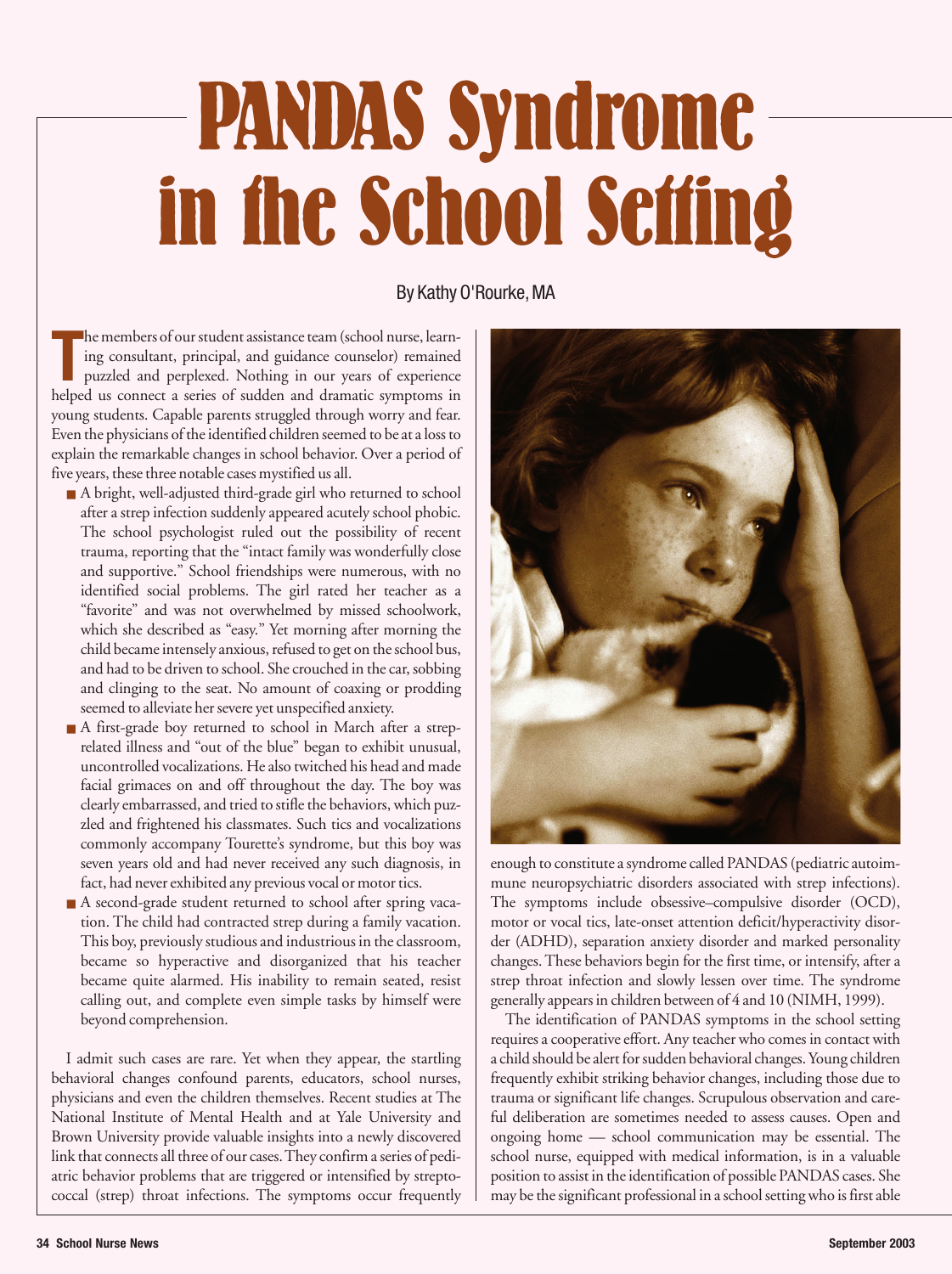## **PANDAS Syndrome in the School Setting**

By Kathy O'Rourke, MA

The members of our student assistance team (school nurse, learning consultant, principal, and guidance counselor) remained puzzled and perplexed. Nothing in our years of experience helped us connect a series of sudden and he members of our student assistance team (school nurse, learning consultant, principal, and guidance counselor) remained puzzled and perplexed. Nothing in our years of experience young students. Capable parents struggled through worry and fear. Even the physicians of the identified children seemed to be at a loss to explain the remarkable changes in school behavior. Over a period of five years, these three notable cases mystified us all.

- A bright, well-adjusted third-grade girl who returned to school after a strep infection suddenly appeared acutely school phobic. The school psychologist ruled out the possibility of recent trauma, reporting that the "intact family was wonderfully close and supportive." School friendships were numerous, with no identified social problems. The girl rated her teacher as a "favorite" and was not overwhelmed by missed schoolwork, which she described as "easy." Yet morning after morning the child became intensely anxious, refused to get on the school bus, and had to be driven to school. She crouched in the car, sobbing and clinging to the seat. No amount of coaxing or prodding seemed to alleviate her severe yet unspecified anxiety.
- A first-grade boy returned to school in March after a streprelated illness and "out of the blue" began to exhibit unusual, uncontrolled vocalizations. He also twitched his head and made facial grimaces on and off throughout the day. The boy was clearly embarrassed, and tried to stifle the behaviors, which puzzled and frightened his classmates. Such tics and vocalizations commonly accompany Tourette's syndrome, but this boy was seven years old and had never received any such diagnosis, in fact, had never exhibited any previous vocal or motor tics.
- A second-grade student returned to school after spring vacation. The child had contracted strep during a family vacation. This boy, previously studious and industrious in the classroom, became so hyperactive and disorganized that his teacher became quite alarmed. His inability to remain seated, resist calling out, and complete even simple tasks by himself were beyond comprehension.

I admit such cases are rare. Yet when they appear, the startling behavioral changes confound parents, educators, school nurses, physicians and even the children themselves. Recent studies at The National Institute of Mental Health and at Yale University and Brown University provide valuable insights into a newly discovered link that connects all three of our cases. They confirm a series of pediatric behavior problems that are triggered or intensified by streptococcal (strep) throat infections. The symptoms occur frequently



enough to constitute a syndrome called PANDAS (pediatric autoimmune neuropsychiatric disorders associated with strep infections). The symptoms include obsessive–compulsive disorder (OCD), motor or vocal tics, late-onset attention deficit/hyperactivity disorder (ADHD), separation anxiety disorder and marked personality changes. These behaviors begin for the first time, or intensify, after a strep throat infection and slowly lessen over time. The syndrome generally appears in children between of 4 and 10 (NIMH, 1999).

The identification of PANDAS symptoms in the school setting requires a cooperative effort. Any teacher who comes in contact with a child should be alert for sudden behavioral changes. Young children frequently exhibit striking behavior changes, including those due to trauma or significant life changes. Scrupulous observation and careful deliberation are sometimes needed to assess causes. Open and ongoing home — school communication may be essential. The school nurse, equipped with medical information, is in a valuable position to assist in the identification of possible PANDAS cases. She may be the significant professional in a school setting who is first able